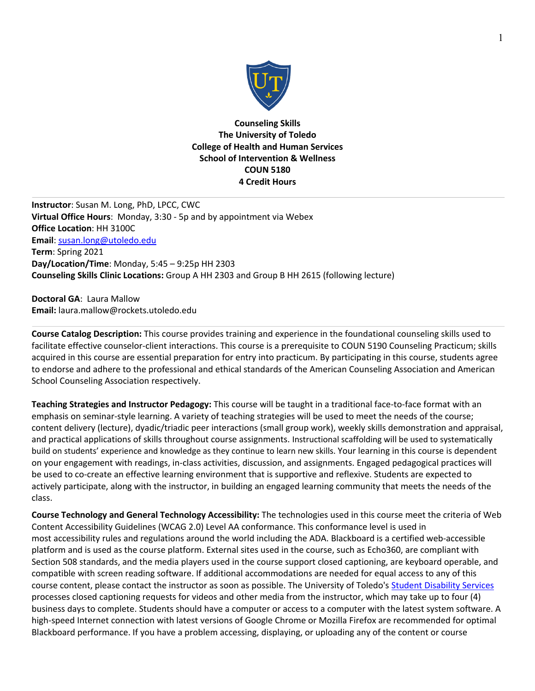

**Counseling Skills The University of Toledo College of Health and Human Services School of Intervention & Wellness COUN 5180 4 Credit Hours**

**Instructor**: Susan M. Long, PhD, LPCC, CWC **Virtual Office Hours**: Monday, 3:30 - 5p and by appointment via Webex **Office Location**: HH 3100C **Email**: susan.long@utoledo.edu **Term**: Spring 2021 **Day/Location/Time**: Monday, 5:45 – 9:25p HH 2303 **Counseling Skills Clinic Locations:** Group A HH 2303 and Group B HH 2615 (following lecture)

**Doctoral GA**: Laura Mallow **Email:** laura.mallow@rockets.utoledo.edu

**Course Catalog Description:** This course provides training and experience in the foundational counseling skills used to facilitate effective counselor-client interactions. This course is a prerequisite to COUN 5190 Counseling Practicum; skills acquired in this course are essential preparation for entry into practicum. By participating in this course, students agree to endorse and adhere to the professional and ethical standards of the American Counseling Association and American School Counseling Association respectively.

**Teaching Strategies and Instructor Pedagogy:** This course will be taught in a traditional face-to-face format with an emphasis on seminar-style learning. A variety of teaching strategies will be used to meet the needs of the course; content delivery (lecture), dyadic/triadic peer interactions (small group work), weekly skills demonstration and appraisal, and practical applications of skills throughout course assignments. Instructional scaffolding will be used to systematically build on students' experience and knowledge as they continue to learn new skills. Your learning in this course is dependent on your engagement with readings, in-class activities, discussion, and assignments. Engaged pedagogical practices will be used to co-create an effective learning environment that is supportive and reflexive. Students are expected to actively participate, along with the instructor, in building an engaged learning community that meets the needs of the class.

**Course Technology and General Technology Accessibility:** The technologies used in this course meet the criteria of Web Content Accessibility Guidelines (WCAG 2.0) Level AA conformance. This conformance level is used in most accessibility rules and regulations around the world including the ADA. Blackboard is a certified web-accessible platform and is used as the course platform. External sites used in the course, such as Echo360, are compliant with Section 508 standards, and the media players used in the course support closed captioning, are keyboard operable, and compatible with screen reading software. If additional accommodations are needed for equal access to any of this course content, please contact the instructor as soon as possible. The University of Toledo's Student Disability Services processes closed captioning requests for videos and other media from the instructor, which may take up to four (4) business days to complete. Students should have a computer or access to a computer with the latest system software. A high-speed Internet connection with latest versions of Google Chrome or Mozilla Firefox are recommended for optimal Blackboard performance. If you have a problem accessing, displaying, or uploading any of the content or course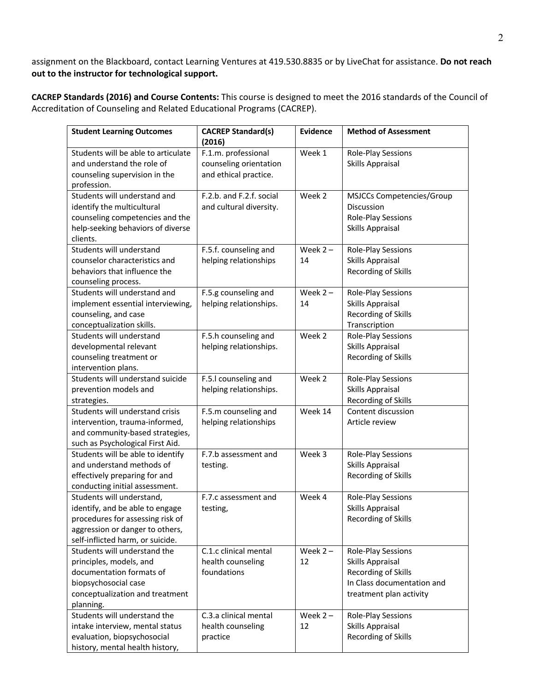assignment on the Blackboard, contact Learning Ventures at 419.530.8835 or by LiveChat for assistance. **Do not reach out to the instructor for technological support.**

**CACREP Standards (2016) and Course Contents:** This course is designed to meet the 2016 standards of the Council of Accreditation of Counseling and Related Educational Programs (CACREP).

| <b>Student Learning Outcomes</b>                                                                                                                                        | <b>CACREP Standard(s)</b><br>(2016)                                    | <b>Evidence</b>  | <b>Method of Assessment</b>                                                                                            |
|-------------------------------------------------------------------------------------------------------------------------------------------------------------------------|------------------------------------------------------------------------|------------------|------------------------------------------------------------------------------------------------------------------------|
| Students will be able to articulate<br>and understand the role of<br>counseling supervision in the<br>profession.                                                       | F.1.m. professional<br>counseling orientation<br>and ethical practice. | Week 1           | Role-Play Sessions<br>Skills Appraisal                                                                                 |
| Students will understand and<br>identify the multicultural<br>counseling competencies and the<br>help-seeking behaviors of diverse<br>clients.                          | F.2.b. and F.2.f. social<br>and cultural diversity.                    | Week 2           | MSJCCs Competencies/Group<br>Discussion<br>Role-Play Sessions<br>Skills Appraisal                                      |
| Students will understand<br>counselor characteristics and<br>behaviors that influence the<br>counseling process.                                                        | F.5.f. counseling and<br>helping relationships                         | Week $2 -$<br>14 | Role-Play Sessions<br>Skills Appraisal<br>Recording of Skills                                                          |
| Students will understand and<br>implement essential interviewing,<br>counseling, and case<br>conceptualization skills.                                                  | F.5.g counseling and<br>helping relationships.                         | Week $2 -$<br>14 | Role-Play Sessions<br>Skills Appraisal<br>Recording of Skills<br>Transcription                                         |
| Students will understand<br>developmental relevant<br>counseling treatment or<br>intervention plans.                                                                    | F.5.h counseling and<br>helping relationships.                         | Week 2           | Role-Play Sessions<br><b>Skills Appraisal</b><br><b>Recording of Skills</b>                                            |
| Students will understand suicide<br>prevention models and<br>strategies.                                                                                                | F.5.I counseling and<br>helping relationships.                         | Week 2           | Role-Play Sessions<br><b>Skills Appraisal</b><br>Recording of Skills                                                   |
| Students will understand crisis<br>intervention, trauma-informed,<br>and community-based strategies,<br>such as Psychological First Aid.                                | F.5.m counseling and<br>helping relationships                          | Week 14          | Content discussion<br>Article review                                                                                   |
| Students will be able to identify<br>and understand methods of<br>effectively preparing for and<br>conducting initial assessment.                                       | F.7.b assessment and<br>testing.                                       | Week 3           | Role-Play Sessions<br>Skills Appraisal<br>Recording of Skills                                                          |
| Students will understand,<br>identify, and be able to engage<br>procedures for assessing risk of<br>aggression or danger to others,<br>self-inflicted harm, or suicide. | F.7.c assessment and<br>testing,                                       | Week 4           | Role-Play Sessions<br>Skills Appraisal<br>Recording of Skills                                                          |
| Students will understand the<br>principles, models, and<br>documentation formats of<br>biopsychosocial case<br>conceptualization and treatment<br>planning.             | C.1.c clinical mental<br>health counseling<br>foundations              | Week $2 -$<br>12 | Role-Play Sessions<br>Skills Appraisal<br>Recording of Skills<br>In Class documentation and<br>treatment plan activity |
| Students will understand the<br>intake interview, mental status<br>evaluation, biopsychosocial<br>history, mental health history,                                       | C.3.a clinical mental<br>health counseling<br>practice                 | Week $2 -$<br>12 | Role-Play Sessions<br>Skills Appraisal<br>Recording of Skills                                                          |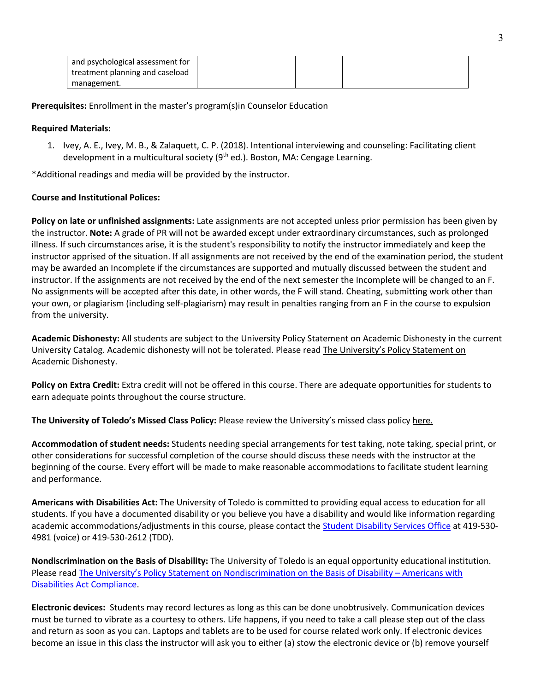| and psychological assessment for |  |  |
|----------------------------------|--|--|
| treatment planning and caseload  |  |  |
| management.                      |  |  |

**Prerequisites:** Enrollment in the master's program(s)in Counselor Education

## **Required Materials:**

1. Ivey, A. E., Ivey, M. B., & Zalaquett, C. P. (2018). Intentional interviewing and counseling: Facilitating client development in a multicultural society (9<sup>th</sup> ed.). Boston, MA: Cengage Learning.

\*Additional readings and media will be provided by the instructor.

# **Course and Institutional Polices:**

**Policy on late or unfinished assignments:** Late assignments are not accepted unless prior permission has been given by the instructor. **Note:** A grade of PR will not be awarded except under extraordinary circumstances, such as prolonged illness. If such circumstances arise, it is the student's responsibility to notify the instructor immediately and keep the instructor apprised of the situation. If all assignments are not received by the end of the examination period, the student may be awarded an Incomplete if the circumstances are supported and mutually discussed between the student and instructor. If the assignments are not received by the end of the next semester the Incomplete will be changed to an F. No assignments will be accepted after this date, in other words, the F will stand. Cheating, submitting work other than your own, or plagiarism (including self-plagiarism) may result in penalties ranging from an F in the course to expulsion from the university.

**Academic Dishonesty:** All students are subject to the University Policy Statement on Academic Dishonesty in the current University Catalog. Academic dishonesty will not be tolerated. Please read The University's Policy Statement on Academic Dishonesty.

**Policy on Extra Credit:** Extra credit will not be offered in this course. There are adequate opportunities for students to earn adequate points throughout the course structure.

**The University of Toledo's Missed Class Policy:** Please review the University's missed class policy here.

**Accommodation of student needs:** Students needing special arrangements for test taking, note taking, special print, or other considerations for successful completion of the course should discuss these needs with the instructor at the beginning of the course. Every effort will be made to make reasonable accommodations to facilitate student learning and performance.

**Americans with Disabilities Act:** The University of Toledo is committed to providing equal access to education for all students. If you have a documented disability or you believe you have a disability and would like information regarding academic accommodations/adjustments in this course, please contact the Student Disability Services Office at 419-530- 4981 (voice) or 419-530-2612 (TDD).

**Nondiscrimination on the Basis of Disability:** The University of Toledo is an equal opportunity educational institution. Please read The University's Policy Statement on Nondiscrimination on the Basis of Disability – Americans with Disabilities Act Compliance.

**Electronic devices:** Students may record lectures as long as this can be done unobtrusively. Communication devices must be turned to vibrate as a courtesy to others. Life happens, if you need to take a call please step out of the class and return as soon as you can. Laptops and tablets are to be used for course related work only. If electronic devices become an issue in this class the instructor will ask you to either (a) stow the electronic device or (b) remove yourself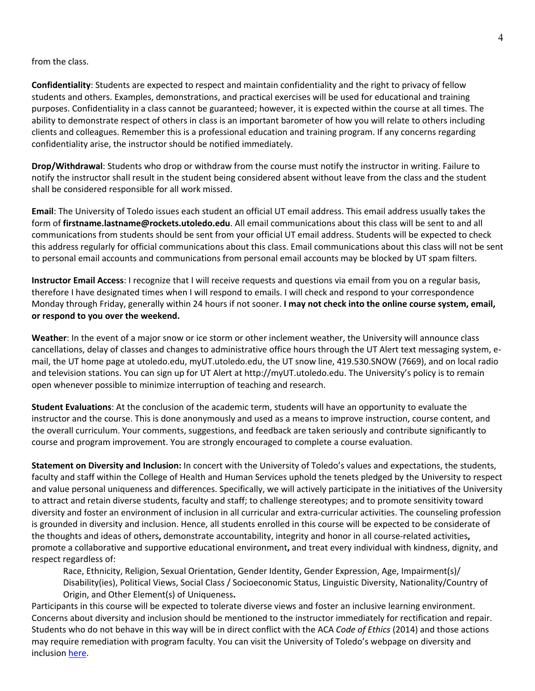### from the class.

**Confidentiality**: Students are expected to respect and maintain confidentiality and the right to privacy of fellow students and others. Examples, demonstrations, and practical exercises will be used for educational and training purposes. Confidentiality in a class cannot be guaranteed; however, it is expected within the course at all times. The ability to demonstrate respect of others in class is an important barometer of how you will relate to others including clients and colleagues. Remember this is a professional education and training program. If any concerns regarding confidentiality arise, the instructor should be notified immediately.

**Drop/Withdrawal**: Students who drop or withdraw from the course must notify the instructor in writing. Failure to notify the instructor shall result in the student being considered absent without leave from the class and the student shall be considered responsible for all work missed.

**Email**: The University of Toledo issues each student an official UT email address. This email address usually takes the form of **firstname.lastname@rockets.utoledo.edu**. All email communications about this class will be sent to and all communications from students should be sent from your official UT email address. Students will be expected to check this address regularly for official communications about this class. Email communications about this class will not be sent to personal email accounts and communications from personal email accounts may be blocked by UT spam filters.

**Instructor Email Access**: I recognize that I will receive requests and questions via email from you on a regular basis, therefore I have designated times when I will respond to emails. I will check and respond to your correspondence Monday through Friday, generally within 24 hours if not sooner. **I may not check into the online course system, email, or respond to you over the weekend.**

**Weather**: In the event of a major snow or ice storm or other inclement weather, the University will announce class cancellations, delay of classes and changes to administrative office hours through the UT Alert text messaging system, email, the UT home page at utoledo.edu, myUT.utoledo.edu, the UT snow line, 419.530.SNOW (7669), and on local radio and television stations. You can sign up for UT Alert at http://myUT.utoledo.edu. The University's policy is to remain open whenever possible to minimize interruption of teaching and research.

**Student Evaluations**: At the conclusion of the academic term, students will have an opportunity to evaluate the instructor and the course. This is done anonymously and used as a means to improve instruction, course content, and the overall curriculum. Your comments, suggestions, and feedback are taken seriously and contribute significantly to course and program improvement. You are strongly encouraged to complete a course evaluation.

**Statement on Diversity and Inclusion:** In concert with the University of Toledo's values and expectations, the students, faculty and staff within the College of Health and Human Services uphold the tenets pledged by the University to respect and value personal uniqueness and differences. Specifically, we will actively participate in the initiatives of the University to attract and retain diverse students, faculty and staff; to challenge stereotypes; and to promote sensitivity toward diversity and foster an environment of inclusion in all curricular and extra-curricular activities. The counseling profession is grounded in diversity and inclusion. Hence, all students enrolled in this course will be expected to be considerate of the thoughts and ideas of others**,** demonstrate accountability, integrity and honor in all course-related activities**,**  promote a collaborative and supportive educational environment**,** and treat every individual with kindness, dignity, and respect regardless of:

Race, Ethnicity, Religion, Sexual Orientation, Gender Identity, Gender Expression, Age, Impairment(s)/ Disability(ies), Political Views, Social Class / Socioeconomic Status, Linguistic Diversity, Nationality/Country of Origin, and Other Element(s) of Uniqueness**.**

Participants in this course will be expected to tolerate diverse views and foster an inclusive learning environment. Concerns about diversity and inclusion should be mentioned to the instructor immediately for rectification and repair. Students who do not behave in this way will be in direct conflict with the ACA *Code of Ethics* (2014) and those actions may require remediation with program faculty. You can visit the University of Toledo's webpage on diversity and inclusion here.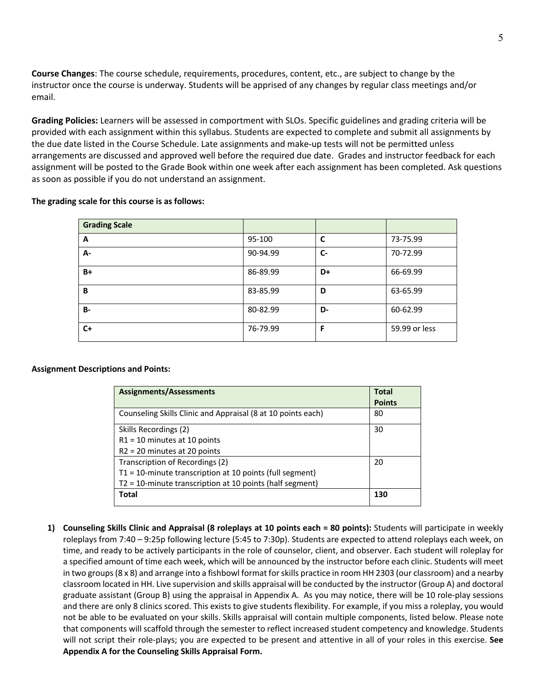**Course Changes**: The course schedule, requirements, procedures, content, etc., are subject to change by the instructor once the course is underway. Students will be apprised of any changes by regular class meetings and/or email.

**Grading Policies:** Learners will be assessed in comportment with SLOs. Specific guidelines and grading criteria will be provided with each assignment within this syllabus. Students are expected to complete and submit all assignments by the due date listed in the Course Schedule. Late assignments and make-up tests will not be permitted unless arrangements are discussed and approved well before the required due date. Grades and instructor feedback for each assignment will be posted to the Grade Book within one week after each assignment has been completed. Ask questions as soon as possible if you do not understand an assignment.

#### **The grading scale for this course is as follows:**

| <b>Grading Scale</b> |          |      |               |
|----------------------|----------|------|---------------|
| A                    | 95-100   | C    | 73-75.99      |
| А-                   | 90-94.99 | $C-$ | 70-72.99      |
| B+                   | 86-89.99 | D+   | 66-69.99      |
| B                    | 83-85.99 | D    | 63-65.99      |
| <b>B-</b>            | 80-82.99 | D-   | 60-62.99      |
| $C+$                 | 76-79.99 | F    | 59.99 or less |

### **Assignment Descriptions and Points:**

| <b>Assignments/Assessments</b>                               | Total         |
|--------------------------------------------------------------|---------------|
|                                                              | <b>Points</b> |
| Counseling Skills Clinic and Appraisal (8 at 10 points each) | 80            |
| Skills Recordings (2)                                        | 30            |
| $R1 = 10$ minutes at 10 points                               |               |
| $R2 = 20$ minutes at 20 points                               |               |
| Transcription of Recordings (2)                              | 20            |
| $T1 = 10$ -minute transcription at 10 points (full segment)  |               |
| T2 = 10-minute transcription at 10 points (half segment)     |               |
| Total                                                        | 130           |

**1) Counseling Skills Clinic and Appraisal (8 roleplays at 10 points each = 80 points):** Students will participate in weekly roleplays from 7:40 – 9:25p following lecture (5:45 to 7:30p). Students are expected to attend roleplays each week, on time, and ready to be actively participants in the role of counselor, client, and observer. Each student will roleplay for a specified amount of time each week, which will be announced by the instructor before each clinic. Students will meet in two groups (8 x 8) and arrange into a fishbowl format for skills practice in room HH 2303 (our classroom) and a nearby classroom located in HH. Live supervision and skills appraisal will be conducted by the instructor (Group A) and doctoral graduate assistant (Group B) using the appraisal in Appendix A. As you may notice, there will be 10 role-play sessions and there are only 8 clinics scored. This exists to give students flexibility. For example, if you miss a roleplay, you would not be able to be evaluated on your skills. Skills appraisal will contain multiple components, listed below. Please note that components will scaffold through the semester to reflect increased student competency and knowledge. Students will not script their role-plays; you are expected to be present and attentive in all of your roles in this exercise. **See Appendix A for the Counseling Skills Appraisal Form.**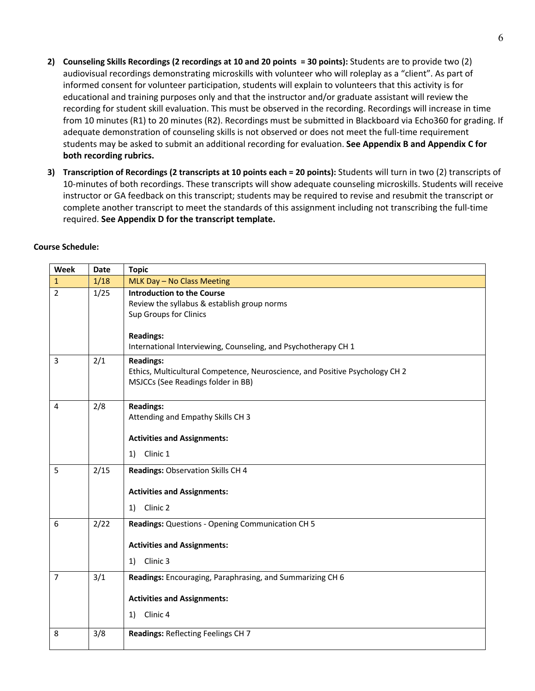- **2) Counseling Skills Recordings (2 recordings at 10 and 20 points = 30 points):** Students are to provide two (2) audiovisual recordings demonstrating microskills with volunteer who will roleplay as a "client". As part of informed consent for volunteer participation, students will explain to volunteers that this activity is for educational and training purposes only and that the instructor and/or graduate assistant will review the recording for student skill evaluation. This must be observed in the recording. Recordings will increase in time from 10 minutes (R1) to 20 minutes (R2). Recordings must be submitted in Blackboard via Echo360 for grading. If adequate demonstration of counseling skills is not observed or does not meet the full-time requirement students may be asked to submit an additional recording for evaluation. **See Appendix B and Appendix C for both recording rubrics.**
- **3) Transcription of Recordings (2 transcripts at 10 points each = 20 points):** Students will turn in two (2) transcripts of 10-minutes of both recordings. These transcripts will show adequate counseling microskills. Students will receive instructor or GA feedback on this transcript; students may be required to revise and resubmit the transcript or complete another transcript to meet the standards of this assignment including not transcribing the full-time required. **See Appendix D for the transcript template.**

| Week           | <b>Date</b> | <b>Topic</b>                                                                                                                           |
|----------------|-------------|----------------------------------------------------------------------------------------------------------------------------------------|
| $\mathbf{1}$   | 1/18        | MLK Day - No Class Meeting                                                                                                             |
| $\overline{2}$ | 1/25        | <b>Introduction to the Course</b><br>Review the syllabus & establish group norms<br>Sup Groups for Clinics<br><b>Readings:</b>         |
|                |             | International Interviewing, Counseling, and Psychotherapy CH 1                                                                         |
| 3              | 2/1         | <b>Readings:</b><br>Ethics, Multicultural Competence, Neuroscience, and Positive Psychology CH 2<br>MSJCCs (See Readings folder in BB) |
| 4              | 2/8         | <b>Readings:</b><br>Attending and Empathy Skills CH 3<br><b>Activities and Assignments:</b>                                            |
|                |             | Clinic 1<br>1)                                                                                                                         |
| 5              | 2/15        | Readings: Observation Skills CH 4                                                                                                      |
|                |             | <b>Activities and Assignments:</b>                                                                                                     |
|                |             | Clinic 2<br>1)                                                                                                                         |
| 6              | 2/22        | Readings: Questions - Opening Communication CH 5                                                                                       |
|                |             | <b>Activities and Assignments:</b>                                                                                                     |
|                |             | Clinic 3<br>1)                                                                                                                         |
| $\overline{7}$ | 3/1         | Readings: Encouraging, Paraphrasing, and Summarizing CH 6                                                                              |
|                |             | <b>Activities and Assignments:</b>                                                                                                     |
|                |             | Clinic <sub>4</sub><br>1)                                                                                                              |
| 8              | 3/8         | Readings: Reflecting Feelings CH 7                                                                                                     |

### **Course Schedule:**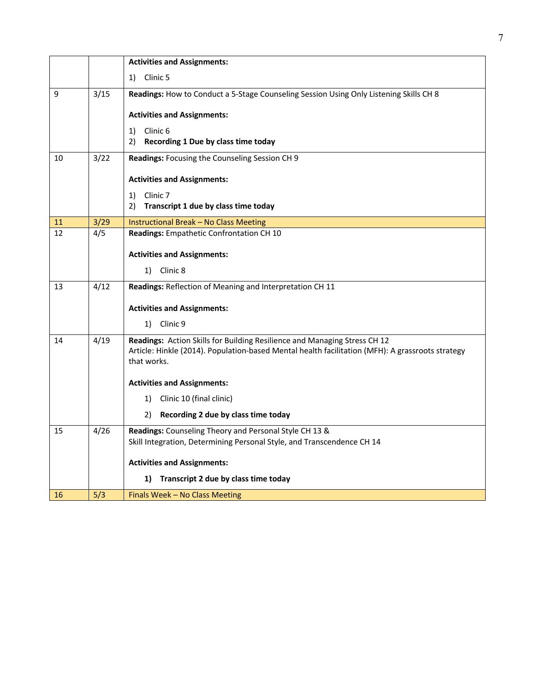|    |      | <b>Activities and Assignments:</b>                                                                              |
|----|------|-----------------------------------------------------------------------------------------------------------------|
|    |      | Clinic 5<br>1)                                                                                                  |
| 9  | 3/15 | Readings: How to Conduct a 5-Stage Counseling Session Using Only Listening Skills CH 8                          |
|    |      | <b>Activities and Assignments:</b>                                                                              |
|    |      | Clinic <sub>6</sub><br>1)                                                                                       |
|    |      | 2)<br>Recording 1 Due by class time today                                                                       |
| 10 | 3/22 | Readings: Focusing the Counseling Session CH 9                                                                  |
|    |      | <b>Activities and Assignments:</b>                                                                              |
|    |      | Clinic <sub>7</sub><br>1)                                                                                       |
|    |      | 2)<br>Transcript 1 due by class time today                                                                      |
| 11 | 3/29 | <b>Instructional Break - No Class Meeting</b>                                                                   |
| 12 | 4/5  | Readings: Empathetic Confrontation CH 10                                                                        |
|    |      | <b>Activities and Assignments:</b>                                                                              |
|    |      | 1) Clinic 8                                                                                                     |
| 13 | 4/12 | Readings: Reflection of Meaning and Interpretation CH 11                                                        |
|    |      |                                                                                                                 |
|    |      | <b>Activities and Assignments:</b>                                                                              |
|    |      | 1) Clinic 9                                                                                                     |
| 14 | 4/19 | Readings: Action Skills for Building Resilience and Managing Stress CH 12                                       |
|    |      | Article: Hinkle (2014). Population-based Mental health facilitation (MFH): A grassroots strategy<br>that works. |
|    |      |                                                                                                                 |
|    |      | <b>Activities and Assignments:</b>                                                                              |
|    |      | Clinic 10 (final clinic)<br>1)                                                                                  |
|    |      | Recording 2 due by class time today<br>2)                                                                       |
| 15 | 4/26 | Readings: Counseling Theory and Personal Style CH 13 &                                                          |
|    |      | Skill Integration, Determining Personal Style, and Transcendence CH 14                                          |
|    |      | <b>Activities and Assignments:</b>                                                                              |
|    |      | Transcript 2 due by class time today<br>1)                                                                      |
| 16 | 5/3  | Finals Week - No Class Meeting                                                                                  |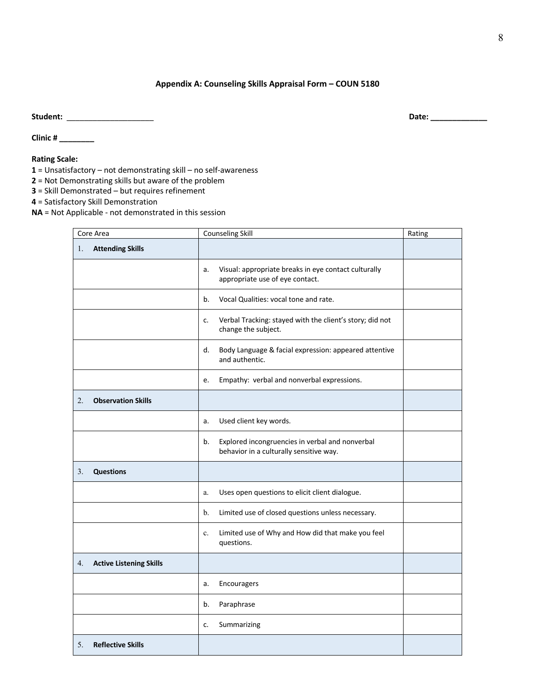## **Appendix A: Counseling Skills Appraisal Form – COUN 5180**

**Student:** \_\_\_\_\_\_\_\_\_\_\_\_\_\_\_\_\_\_\_\_ **Date: \_\_\_\_\_\_\_\_\_\_\_\_\_** 

**Clinic # \_\_\_\_\_\_\_\_**

### **Rating Scale:**

**1** = Unsatisfactory – not demonstrating skill – no self-awareness

- **2** = Not Demonstrating skills but aware of the problem
- **3** = Skill Demonstrated but requires refinement

**4** = Satisfactory Skill Demonstration

**NA** = Not Applicable - not demonstrated in this session

| Core Area                            | <b>Counseling Skill</b>                                                                          | Rating |
|--------------------------------------|--------------------------------------------------------------------------------------------------|--------|
| <b>Attending Skills</b><br>1.        |                                                                                                  |        |
|                                      | Visual: appropriate breaks in eye contact culturally<br>a.<br>appropriate use of eye contact.    |        |
|                                      | Vocal Qualities: vocal tone and rate.<br>b.                                                      |        |
|                                      | Verbal Tracking: stayed with the client's story; did not<br>c.<br>change the subject.            |        |
|                                      | d.<br>Body Language & facial expression: appeared attentive<br>and authentic.                    |        |
|                                      | Empathy: verbal and nonverbal expressions.<br>e.                                                 |        |
| <b>Observation Skills</b><br>2.      |                                                                                                  |        |
|                                      | Used client key words.<br>a.                                                                     |        |
|                                      | Explored incongruencies in verbal and nonverbal<br>b.<br>behavior in a culturally sensitive way. |        |
| <b>Questions</b><br>3.               |                                                                                                  |        |
|                                      | Uses open questions to elicit client dialogue.<br>a.                                             |        |
|                                      | b.<br>Limited use of closed questions unless necessary.                                          |        |
|                                      | Limited use of Why and How did that make you feel<br>c.<br>questions.                            |        |
| <b>Active Listening Skills</b><br>4. |                                                                                                  |        |
|                                      | Encouragers<br>a.                                                                                |        |
|                                      | Paraphrase<br>b.                                                                                 |        |
|                                      | Summarizing<br>c.                                                                                |        |
| <b>Reflective Skills</b><br>5.       |                                                                                                  |        |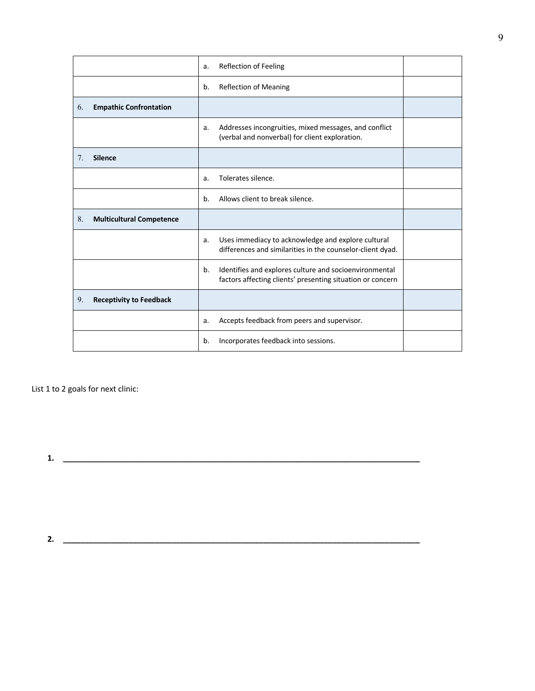|    |                                 | a. | <b>Reflection of Feeling</b>                                                                                         |  |
|----|---------------------------------|----|----------------------------------------------------------------------------------------------------------------------|--|
|    |                                 | b. | <b>Reflection of Meaning</b>                                                                                         |  |
| 6. | <b>Empathic Confrontation</b>   |    |                                                                                                                      |  |
|    |                                 | a. | Addresses incongruities, mixed messages, and conflict<br>(verbal and nonverbal) for client exploration.              |  |
| 7. | <b>Silence</b>                  |    |                                                                                                                      |  |
|    |                                 | a. | Tolerates silence.                                                                                                   |  |
|    |                                 | b. | Allows client to break silence.                                                                                      |  |
| 8. | <b>Multicultural Competence</b> |    |                                                                                                                      |  |
|    |                                 | a. | Uses immediacy to acknowledge and explore cultural<br>differences and similarities in the counselor-client dyad.     |  |
|    |                                 | b. | Identifies and explores culture and socioenvironmental<br>factors affecting clients' presenting situation or concern |  |
| 9. | <b>Receptivity to Feedback</b>  |    |                                                                                                                      |  |
|    |                                 | a. | Accepts feedback from peers and supervisor.                                                                          |  |
|    |                                 | b. | Incorporates feedback into sessions.                                                                                 |  |

**2. \_\_\_\_\_\_\_\_\_\_\_\_\_\_\_\_\_\_\_\_\_\_\_\_\_\_\_\_\_\_\_\_\_\_\_\_\_\_\_\_\_\_\_\_\_\_\_\_\_\_\_\_\_\_\_\_\_\_\_\_\_\_\_\_\_\_\_\_\_\_\_\_\_\_\_\_\_\_\_\_\_\_**

List 1 to 2 goals for next clinic:

**1. \_\_\_\_\_\_\_\_\_\_\_\_\_\_\_\_\_\_\_\_\_\_\_\_\_\_\_\_\_\_\_\_\_\_\_\_\_\_\_\_\_\_\_\_\_\_\_\_\_\_\_\_\_\_\_\_\_\_\_\_\_\_\_\_\_\_\_\_\_\_\_\_\_\_\_\_\_\_\_\_\_\_**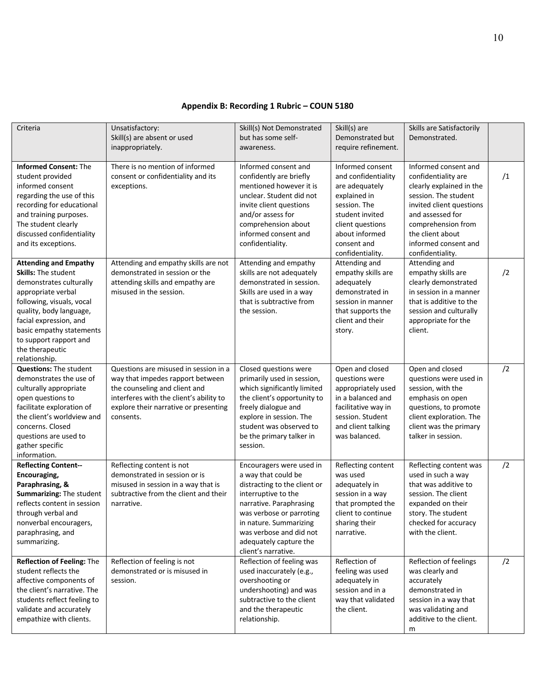# **Appendix B: Recording 1 Rubric – COUN 5180**

| Criteria                                                                                                                                                                                                                                                                                | Unsatisfactory:<br>Skill(s) are absent or used<br>inappropriately.                                                                                                                                          | Skill(s) Not Demonstrated<br>but has some self-<br>awareness.                                                                                                                                                                                                       | Skill(s) are<br>Demonstrated but<br>require refinement.                                                                                                                               | Skills are Satisfactorily<br>Demonstrated.                                                                                                                                                                                            |    |
|-----------------------------------------------------------------------------------------------------------------------------------------------------------------------------------------------------------------------------------------------------------------------------------------|-------------------------------------------------------------------------------------------------------------------------------------------------------------------------------------------------------------|---------------------------------------------------------------------------------------------------------------------------------------------------------------------------------------------------------------------------------------------------------------------|---------------------------------------------------------------------------------------------------------------------------------------------------------------------------------------|---------------------------------------------------------------------------------------------------------------------------------------------------------------------------------------------------------------------------------------|----|
| <b>Informed Consent: The</b><br>student provided<br>informed consent<br>regarding the use of this<br>recording for educational<br>and training purposes.<br>The student clearly<br>discussed confidentiality<br>and its exceptions.                                                     | There is no mention of informed<br>consent or confidentiality and its<br>exceptions.                                                                                                                        | Informed consent and<br>confidently are briefly<br>mentioned however it is<br>unclear. Student did not<br>invite client questions<br>and/or assess for<br>comprehension about<br>informed consent and<br>confidentiality.                                           | Informed consent<br>and confidentiality<br>are adequately<br>explained in<br>session. The<br>student invited<br>client questions<br>about informed<br>consent and<br>confidentiality. | Informed consent and<br>confidentiality are<br>clearly explained in the<br>session. The student<br>invited client questions<br>and assessed for<br>comprehension from<br>the client about<br>informed consent and<br>confidentiality. | /1 |
| <b>Attending and Empathy</b><br><b>Skills: The student</b><br>demonstrates culturally<br>appropriate verbal<br>following, visuals, vocal<br>quality, body language,<br>facial expression, and<br>basic empathy statements<br>to support rapport and<br>the therapeutic<br>relationship. | Attending and empathy skills are not<br>demonstrated in session or the<br>attending skills and empathy are<br>misused in the session.                                                                       | Attending and empathy<br>skills are not adequately<br>demonstrated in session.<br>Skills are used in a way<br>that is subtractive from<br>the session.                                                                                                              | Attending and<br>empathy skills are<br>adequately<br>demonstrated in<br>session in manner<br>that supports the<br>client and their<br>story.                                          | Attending and<br>empathy skills are<br>clearly demonstrated<br>in session in a manner<br>that is additive to the<br>session and culturally<br>appropriate for the<br>client.                                                          | /2 |
| <b>Questions: The student</b><br>demonstrates the use of<br>culturally appropriate<br>open questions to<br>facilitate exploration of<br>the client's worldview and<br>concerns. Closed<br>questions are used to<br>gather specific<br>information.                                      | Questions are misused in session in a<br>way that impedes rapport between<br>the counseling and client and<br>interferes with the client's ability to<br>explore their narrative or presenting<br>consents. | Closed questions were<br>primarily used in session,<br>which significantly limited<br>the client's opportunity to<br>freely dialogue and<br>explore in session. The<br>student was observed to<br>be the primary talker in<br>session.                              | Open and closed<br>questions were<br>appropriately used<br>in a balanced and<br>facilitative way in<br>session. Student<br>and client talking<br>was balanced.                        | Open and closed<br>questions were used in<br>session, with the<br>emphasis on open<br>questions, to promote<br>client exploration. The<br>client was the primary<br>talker in session.                                                | /2 |
| <b>Reflecting Content--</b><br>Encouraging,<br>Paraphrasing, &<br>Summarizing: The student<br>reflects content in session<br>through verbal and<br>nonverbal encouragers,<br>paraphrasing, and<br>summarizing.                                                                          | Reflecting content is not<br>demonstrated in session or is<br>misused in session in a way that is<br>subtractive from the client and their<br>narrative.                                                    | Encouragers were used in<br>a way that could be<br>distracting to the client or<br>interruptive to the<br>narrative. Paraphrasing<br>was verbose or parroting<br>in nature. Summarizing<br>was verbose and did not<br>adequately capture the<br>client's narrative. | Reflecting content<br>was used<br>adequately in<br>session in a way<br>that prompted the<br>client to continue<br>sharing their<br>narrative.                                         | Reflecting content was<br>used in such a way<br>that was additive to<br>session. The client<br>expanded on their<br>story. The student<br>checked for accuracy<br>with the client.                                                    | /2 |
| Reflection of Feeling: The<br>student reflects the<br>affective components of<br>the client's narrative. The<br>students reflect feeling to<br>validate and accurately<br>empathize with clients.                                                                                       | Reflection of feeling is not<br>demonstrated or is misused in<br>session.                                                                                                                                   | Reflection of feeling was<br>used inaccurately (e.g.,<br>overshooting or<br>undershooting) and was<br>subtractive to the client<br>and the therapeutic<br>relationship.                                                                                             | Reflection of<br>feeling was used<br>adequately in<br>session and in a<br>way that validated<br>the client.                                                                           | Reflection of feelings<br>was clearly and<br>accurately<br>demonstrated in<br>session in a way that<br>was validating and<br>additive to the client.<br>m                                                                             | /2 |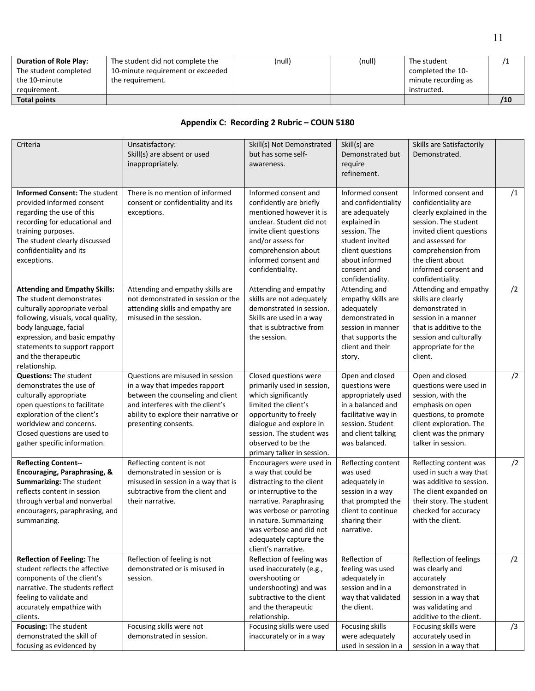| <b>Duration of Role Play:</b> | The student did not complete the  | (null) | (null) | The student         |     |
|-------------------------------|-----------------------------------|--------|--------|---------------------|-----|
| The student completed         | 10-minute requirement or exceeded |        |        | completed the 10-   |     |
| the 10-minute                 | the requirement.                  |        |        | minute recording as |     |
| requirement.                  |                                   |        |        | instructed.         |     |
| <b>Total points</b>           |                                   |        |        |                     | /10 |

# **Appendix C: Recording 2 Rubric – COUN 5180**

| Criteria                                                                                                                                                                                                                                                                   | Unsatisfactory:<br>Skill(s) are absent or used<br>inappropriately.                                                                                                                                          | Skill(s) Not Demonstrated<br>but has some self-<br>awareness.                                                                                                                                                                                                       | Skill(s) are<br>Demonstrated but<br>require<br>refinement.                                                                                                                            | Skills are Satisfactorily<br>Demonstrated.                                                                                                                                                                                            |    |
|----------------------------------------------------------------------------------------------------------------------------------------------------------------------------------------------------------------------------------------------------------------------------|-------------------------------------------------------------------------------------------------------------------------------------------------------------------------------------------------------------|---------------------------------------------------------------------------------------------------------------------------------------------------------------------------------------------------------------------------------------------------------------------|---------------------------------------------------------------------------------------------------------------------------------------------------------------------------------------|---------------------------------------------------------------------------------------------------------------------------------------------------------------------------------------------------------------------------------------|----|
| <b>Informed Consent: The student</b><br>provided informed consent<br>regarding the use of this<br>recording for educational and<br>training purposes.<br>The student clearly discussed<br>confidentiality and its<br>exceptions.                                           | There is no mention of informed<br>consent or confidentiality and its<br>exceptions.                                                                                                                        | Informed consent and<br>confidently are briefly<br>mentioned however it is<br>unclear. Student did not<br>invite client questions<br>and/or assess for<br>comprehension about<br>informed consent and<br>confidentiality.                                           | Informed consent<br>and confidentiality<br>are adequately<br>explained in<br>session. The<br>student invited<br>client questions<br>about informed<br>consent and<br>confidentiality. | Informed consent and<br>confidentiality are<br>clearly explained in the<br>session. The student<br>invited client questions<br>and assessed for<br>comprehension from<br>the client about<br>informed consent and<br>confidentiality. | /1 |
| <b>Attending and Empathy Skills:</b><br>The student demonstrates<br>culturally appropriate verbal<br>following, visuals, vocal quality,<br>body language, facial<br>expression, and basic empathy<br>statements to support rapport<br>and the therapeutic<br>relationship. | Attending and empathy skills are<br>not demonstrated in session or the<br>attending skills and empathy are<br>misused in the session.                                                                       | Attending and empathy<br>skills are not adequately<br>demonstrated in session.<br>Skills are used in a way<br>that is subtractive from<br>the session.                                                                                                              | Attending and<br>empathy skills are<br>adequately<br>demonstrated in<br>session in manner<br>that supports the<br>client and their<br>story.                                          | Attending and empathy<br>skills are clearly<br>demonstrated in<br>session in a manner<br>that is additive to the<br>session and culturally<br>appropriate for the<br>client.                                                          | /2 |
| <b>Questions: The student</b><br>demonstrates the use of<br>culturally appropriate<br>open questions to facilitate<br>exploration of the client's<br>worldview and concerns.<br>Closed questions are used to<br>gather specific information.                               | Questions are misused in session<br>in a way that impedes rapport<br>between the counseling and client<br>and interferes with the client's<br>ability to explore their narrative or<br>presenting consents. | Closed questions were<br>primarily used in session,<br>which significantly<br>limited the client's<br>opportunity to freely<br>dialogue and explore in<br>session. The student was<br>observed to be the<br>primary talker in session.                              | Open and closed<br>questions were<br>appropriately used<br>in a balanced and<br>facilitative way in<br>session. Student<br>and client talking<br>was balanced.                        | Open and closed<br>questions were used in<br>session, with the<br>emphasis on open<br>questions, to promote<br>client exploration. The<br>client was the primary<br>talker in session.                                                | /2 |
| <b>Reflecting Content--</b><br>Encouraging, Paraphrasing, &<br>Summarizing: The student<br>reflects content in session<br>through verbal and nonverbal<br>encouragers, paraphrasing, and<br>summarizing.                                                                   | Reflecting content is not<br>demonstrated in session or is<br>misused in session in a way that is<br>subtractive from the client and<br>their narrative.                                                    | Encouragers were used in<br>a way that could be<br>distracting to the client<br>or interruptive to the<br>narrative. Paraphrasing<br>was verbose or parroting<br>in nature. Summarizing<br>was verbose and did not<br>adequately capture the<br>client's narrative. | Reflecting content<br>was used<br>adequately in<br>session in a way<br>that prompted the<br>client to continue<br>sharing their<br>narrative.                                         | Reflecting content was<br>used in such a way that<br>was additive to session.<br>The client expanded on<br>their story. The student<br>checked for accuracy<br>with the client.                                                       | /2 |
| <b>Reflection of Feeling: The</b><br>student reflects the affective<br>components of the client's<br>narrative. The students reflect<br>feeling to validate and<br>accurately empathize with<br>clients.                                                                   | Reflection of feeling is not<br>demonstrated or is misused in<br>session.                                                                                                                                   | Reflection of feeling was<br>used inaccurately (e.g.,<br>overshooting or<br>undershooting) and was<br>subtractive to the client<br>and the therapeutic<br>relationship.                                                                                             | Reflection of<br>feeling was used<br>adequately in<br>session and in a<br>way that validated<br>the client.                                                                           | Reflection of feelings<br>was clearly and<br>accurately<br>demonstrated in<br>session in a way that<br>was validating and<br>additive to the client.                                                                                  | /2 |
| Focusing: The student<br>demonstrated the skill of<br>focusing as evidenced by                                                                                                                                                                                             | Focusing skills were not<br>demonstrated in session.                                                                                                                                                        | Focusing skills were used<br>inaccurately or in a way                                                                                                                                                                                                               | Focusing skills<br>were adequately<br>used in session in a                                                                                                                            | Focusing skills were<br>accurately used in<br>session in a way that                                                                                                                                                                   | /3 |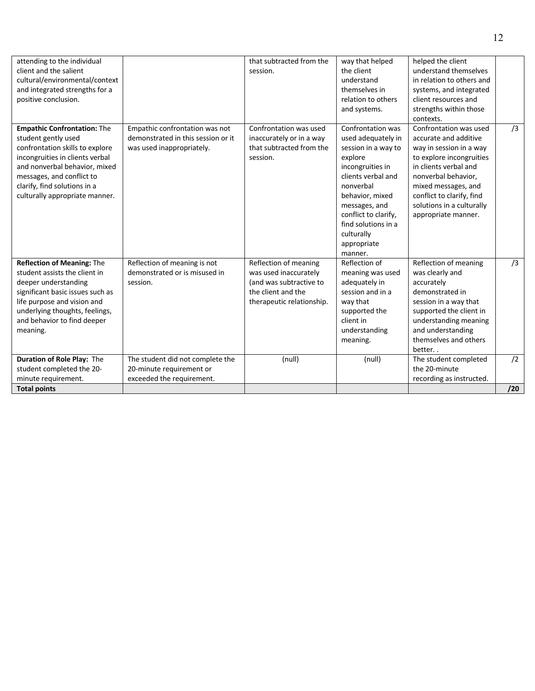| attending to the individual<br>client and the salient<br>cultural/environmental/context<br>and integrated strengths for a<br>positive conclusion.                                                                                                               |                                                                                                   | that subtracted from the<br>session.                                                                                         | way that helped<br>the client<br>understand<br>themselves in<br>relation to others<br>and systems.                                                                                                                                                          | helped the client<br>understand themselves<br>in relation to others and<br>systems, and integrated<br>client resources and<br>strengths within those<br>contexts.                                                                                              |           |
|-----------------------------------------------------------------------------------------------------------------------------------------------------------------------------------------------------------------------------------------------------------------|---------------------------------------------------------------------------------------------------|------------------------------------------------------------------------------------------------------------------------------|-------------------------------------------------------------------------------------------------------------------------------------------------------------------------------------------------------------------------------------------------------------|----------------------------------------------------------------------------------------------------------------------------------------------------------------------------------------------------------------------------------------------------------------|-----------|
| <b>Empathic Confrontation: The</b><br>student gently used<br>confrontation skills to explore<br>incongruities in clients verbal<br>and nonverbal behavior, mixed<br>messages, and conflict to<br>clarify, find solutions in a<br>culturally appropriate manner. | Empathic confrontation was not<br>demonstrated in this session or it<br>was used inappropriately. | Confrontation was used<br>inaccurately or in a way<br>that subtracted from the<br>session.                                   | Confrontation was<br>used adequately in<br>session in a way to<br>explore<br>incongruities in<br>clients verbal and<br>nonverbal<br>behavior, mixed<br>messages, and<br>conflict to clarify,<br>find solutions in a<br>culturally<br>appropriate<br>manner. | Confrontation was used<br>accurate and additive<br>way in session in a way<br>to explore incongruities<br>in clients verbal and<br>nonverbal behavior,<br>mixed messages, and<br>conflict to clarify, find<br>solutions in a culturally<br>appropriate manner. | /3        |
| <b>Reflection of Meaning: The</b><br>student assists the client in<br>deeper understanding<br>significant basic issues such as<br>life purpose and vision and<br>underlying thoughts, feelings,<br>and behavior to find deeper<br>meaning.                      | Reflection of meaning is not<br>demonstrated or is misused in<br>session.                         | Reflection of meaning<br>was used inaccurately<br>(and was subtractive to<br>the client and the<br>therapeutic relationship. | Reflection of<br>meaning was used<br>adequately in<br>session and in a<br>way that<br>supported the<br>client in<br>understanding<br>meaning.                                                                                                               | Reflection of meaning<br>was clearly and<br>accurately<br>demonstrated in<br>session in a way that<br>supported the client in<br>understanding meaning<br>and understanding<br>themselves and others<br>better                                                 | /3        |
| Duration of Role Play: The<br>student completed the 20-<br>minute requirement.                                                                                                                                                                                  | The student did not complete the<br>20-minute requirement or<br>exceeded the requirement.         | (null)                                                                                                                       | (null)                                                                                                                                                                                                                                                      | The student completed<br>the 20-minute<br>recording as instructed.                                                                                                                                                                                             | /2<br>/20 |
| <b>Total points</b>                                                                                                                                                                                                                                             |                                                                                                   |                                                                                                                              |                                                                                                                                                                                                                                                             |                                                                                                                                                                                                                                                                |           |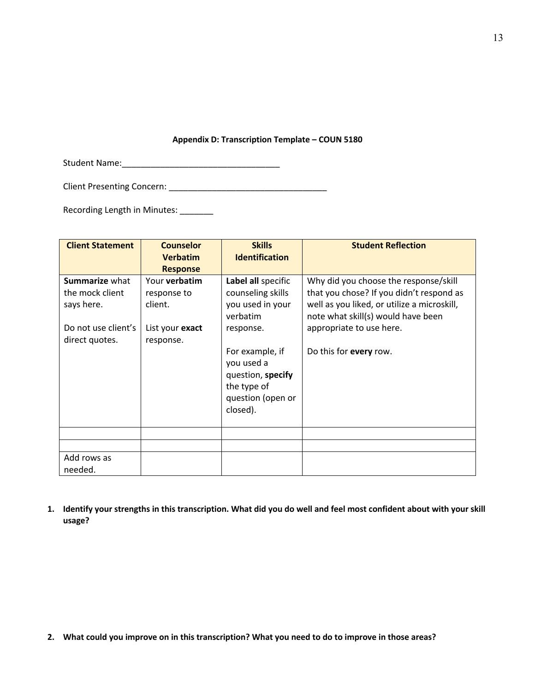# **Appendix D: Transcription Template – COUN 5180**

Student Name:\_\_\_\_\_\_\_\_\_\_\_\_\_\_\_\_\_\_\_\_\_\_\_\_\_\_\_\_\_\_\_\_\_

Client Presenting Concern: \_\_\_\_\_\_\_\_\_\_\_\_\_\_\_\_\_\_\_\_\_\_\_\_\_\_\_\_\_\_\_\_\_

Recording Length in Minutes: \_\_\_\_\_\_\_

| <b>Client Statement</b>                                | <b>Counselor</b><br><b>Verbatim</b>     | <b>Skills</b><br><b>Identification</b>                                                                                      | <b>Student Reflection</b>                                                                                                        |
|--------------------------------------------------------|-----------------------------------------|-----------------------------------------------------------------------------------------------------------------------------|----------------------------------------------------------------------------------------------------------------------------------|
|                                                        | <b>Response</b>                         |                                                                                                                             |                                                                                                                                  |
| <b>Summarize what</b><br>the mock client<br>says here. | Your verbatim<br>response to<br>client. | Label all specific<br>counseling skills<br>you used in your                                                                 | Why did you choose the response/skill<br>that you chose? If you didn't respond as<br>well as you liked, or utilize a microskill, |
| Do not use client's<br>direct quotes.                  | List your exact<br>response.            | verbatim<br>response.<br>For example, if<br>you used a<br>question, specify<br>the type of<br>question (open or<br>closed). | note what skill(s) would have been<br>appropriate to use here.<br>Do this for every row.                                         |
|                                                        |                                         |                                                                                                                             |                                                                                                                                  |
|                                                        |                                         |                                                                                                                             |                                                                                                                                  |
| Add rows as<br>needed.                                 |                                         |                                                                                                                             |                                                                                                                                  |

**1. Identify your strengths in this transcription. What did you do well and feel most confident about with your skill usage?** 

**2. What could you improve on in this transcription? What you need to do to improve in those areas?**